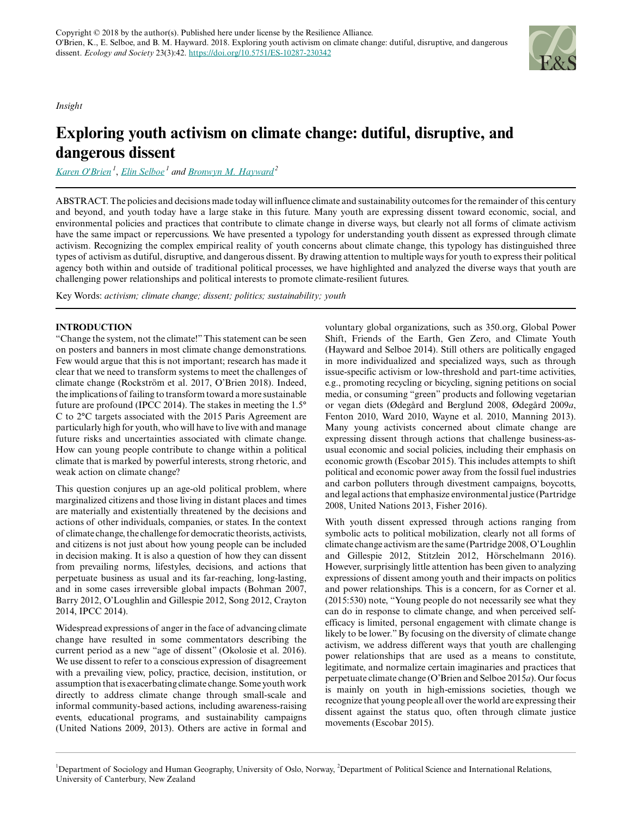

# **Exploring youth activism on climate change: dutiful, disruptive, and dangerous dissent**

*[Karen O'Brien](mailto:karen.obrien@sosgeo.uio.no)<sup>1</sup>* , *[Elin Selboe](mailto:elin.selboe@sgeo.uio.no)<sup>1</sup> and [Bronwyn M. Hayward](mailto:bronwyn.hayward@canterbury.ac.nz)<sup>2</sup>*

ABSTRACT. The policies and decisions made today will influence climate and sustainability outcomes for the remainder of this century and beyond, and youth today have a large stake in this future. Many youth are expressing dissent toward economic, social, and environmental policies and practices that contribute to climate change in diverse ways, but clearly not all forms of climate activism have the same impact or repercussions. We have presented a typology for understanding youth dissent as expressed through climate activism. Recognizing the complex empirical reality of youth concerns about climate change, this typology has distinguished three types of activism as dutiful, disruptive, and dangerous dissent. By drawing attention to multiple ways for youth to express their political agency both within and outside of traditional political processes, we have highlighted and analyzed the diverse ways that youth are challenging power relationships and political interests to promote climate-resilient futures.

Key Words: *activism; climate change; dissent; politics; sustainability; youth*

## **INTRODUCTION**

"Change the system, not the climate!" This statement can be seen on posters and banners in most climate change demonstrations. Few would argue that this is not important; research has made it clear that we need to transform systems to meet the challenges of climate change (Rockström et al. 2017, O'Brien 2018). Indeed, the implications of failing to transform toward a more sustainable future are profound (IPCC 2014). The stakes in meeting the 1.5° C to 2°C targets associated with the 2015 Paris Agreement are particularly high for youth, who will have to live with and manage future risks and uncertainties associated with climate change. How can young people contribute to change within a political climate that is marked by powerful interests, strong rhetoric, and weak action on climate change?

This question conjures up an age-old political problem, where marginalized citizens and those living in distant places and times are materially and existentially threatened by the decisions and actions of other individuals, companies, or states. In the context of climate change, the challenge for democratic theorists, activists, and citizens is not just about how young people can be included in decision making. It is also a question of how they can dissent from prevailing norms, lifestyles, decisions, and actions that perpetuate business as usual and its far-reaching, long-lasting, and in some cases irreversible global impacts (Bohman 2007, Barry 2012, O'Loughlin and Gillespie 2012, Song 2012, Crayton 2014, IPCC 2014).

Widespread expressions of anger in the face of advancing climate change have resulted in some commentators describing the current period as a new "age of dissent" (Okolosie et al. 2016). We use dissent to refer to a conscious expression of disagreement with a prevailing view, policy, practice, decision, institution, or assumption that is exacerbating climate change. Some youth work directly to address climate change through small-scale and informal community-based actions, including awareness-raising events, educational programs, and sustainability campaigns (United Nations 2009, 2013). Others are active in formal and

voluntary global organizations, such as 350.org, Global Power Shift, Friends of the Earth, Gen Zero, and Climate Youth (Hayward and Selboe 2014). Still others are politically engaged in more individualized and specialized ways, such as through issue-specific activism or low-threshold and part-time activities, e.g., promoting recycling or bicycling, signing petitions on social media, or consuming "green" products and following vegetarian or vegan diets (Ødegård and Berglund 2008, Ødegård 2009*a*, Fenton 2010, Ward 2010, Wayne et al. 2010, Manning 2013). Many young activists concerned about climate change are expressing dissent through actions that challenge business-asusual economic and social policies, including their emphasis on economic growth (Escobar 2015). This includes attempts to shift political and economic power away from the fossil fuel industries and carbon polluters through divestment campaigns, boycotts, and legal actions that emphasize environmental justice (Partridge 2008, United Nations 2013, Fisher 2016).

With youth dissent expressed through actions ranging from symbolic acts to political mobilization, clearly not all forms of climate change activism are the same (Partridge 2008, O'Loughlin and Gillespie 2012, Stitzlein 2012, Hörschelmann 2016). However, surprisingly little attention has been given to analyzing expressions of dissent among youth and their impacts on politics and power relationships. This is a concern, for as Corner et al. (2015:530) note, "Young people do not necessarily see what they can do in response to climate change, and when perceived selfefficacy is limited, personal engagement with climate change is likely to be lower." By focusing on the diversity of climate change activism, we address different ways that youth are challenging power relationships that are used as a means to constitute, legitimate, and normalize certain imaginaries and practices that perpetuate climate change (O'Brien and Selboe 2015*a*). Our focus is mainly on youth in high-emissions societies, though we recognize that young people all over the world are expressing their dissent against the status quo, often through climate justice movements (Escobar 2015).

<sup>1</sup>Department of Sociology and Human Geography, University of Oslo, Norway, <sup>2</sup>Department of Political Science and International Relations, University of Canterbury, New Zealand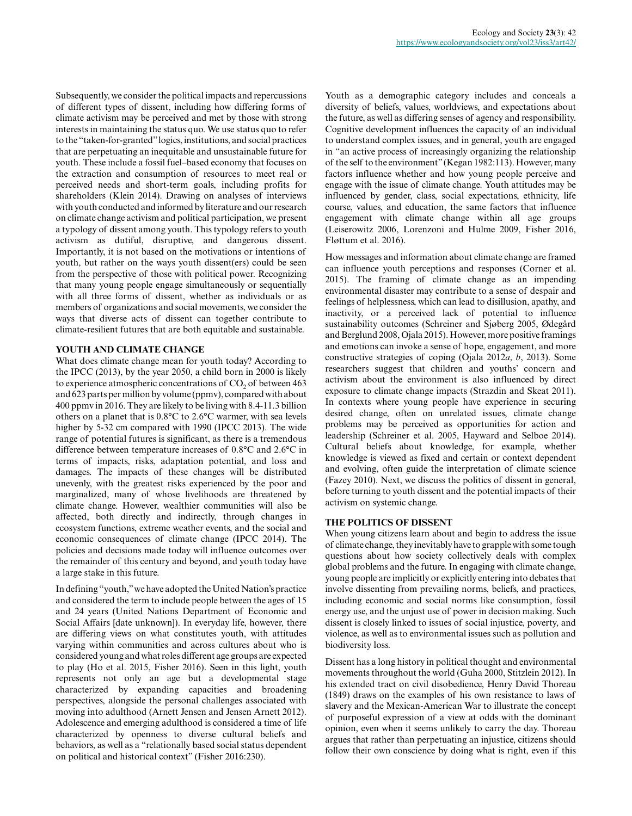Subsequently, we consider the political impacts and repercussions of different types of dissent, including how differing forms of climate activism may be perceived and met by those with strong interests in maintaining the status quo. We use status quo to refer to the "taken-for-granted" logics, institutions, and social practices that are perpetuating an inequitable and unsustainable future for youth. These include a fossil fuel–based economy that focuses on the extraction and consumption of resources to meet real or perceived needs and short-term goals, including profits for shareholders (Klein 2014). Drawing on analyses of interviews with youth conducted and informed by literature and our research on climate change activism and political participation, we present a typology of dissent among youth. This typology refers to youth activism as dutiful, disruptive, and dangerous dissent. Importantly, it is not based on the motivations or intentions of youth, but rather on the ways youth dissent(ers) could be seen from the perspective of those with political power. Recognizing that many young people engage simultaneously or sequentially with all three forms of dissent, whether as individuals or as members of organizations and social movements, we consider the ways that diverse acts of dissent can together contribute to climate-resilient futures that are both equitable and sustainable.

## **YOUTH AND CLIMATE CHANGE**

What does climate change mean for youth today? According to the IPCC (2013), by the year 2050, a child born in 2000 is likely to experience atmospheric concentrations of  $\mathrm{CO}_2$  of between 463 and 623 parts per million by volume (ppmv), compared with about 400 ppmv in 2016. They are likely to be living with 8.4-11.3 billion others on a planet that is 0.8°C to 2.6°C warmer, with sea levels higher by 5-32 cm compared with 1990 (IPCC 2013). The wide range of potential futures is significant, as there is a tremendous difference between temperature increases of 0.8°C and 2.6°C in terms of impacts, risks, adaptation potential, and loss and damages. The impacts of these changes will be distributed unevenly, with the greatest risks experienced by the poor and marginalized, many of whose livelihoods are threatened by climate change. However, wealthier communities will also be affected, both directly and indirectly, through changes in ecosystem functions, extreme weather events, and the social and economic consequences of climate change (IPCC 2014). The policies and decisions made today will influence outcomes over the remainder of this century and beyond, and youth today have a large stake in this future.

In defining "youth," we have adopted the United Nation's practice and considered the term to include people between the ages of 15 and 24 years (United Nations Department of Economic and Social Affairs [date unknown]). In everyday life, however, there are differing views on what constitutes youth, with attitudes varying within communities and across cultures about who is considered young and what roles different age groups are expected to play (Ho et al. 2015, Fisher 2016). Seen in this light, youth represents not only an age but a developmental stage characterized by expanding capacities and broadening perspectives, alongside the personal challenges associated with moving into adulthood (Arnett Jensen and Jensen Arnett 2012). Adolescence and emerging adulthood is considered a time of life characterized by openness to diverse cultural beliefs and behaviors, as well as a "relationally based social status dependent on political and historical context" (Fisher 2016:230).

Youth as a demographic category includes and conceals a diversity of beliefs, values, worldviews, and expectations about the future, as well as differing senses of agency and responsibility. Cognitive development influences the capacity of an individual to understand complex issues, and in general, youth are engaged in "an active process of increasingly organizing the relationship of the self to the environment" (Kegan 1982:113). However, many factors influence whether and how young people perceive and engage with the issue of climate change. Youth attitudes may be influenced by gender, class, social expectations, ethnicity, life course, values, and education, the same factors that influence engagement with climate change within all age groups (Leiserowitz 2006, Lorenzoni and Hulme 2009, Fisher 2016, Fløttum et al. 2016).

How messages and information about climate change are framed can influence youth perceptions and responses (Corner et al. 2015). The framing of climate change as an impending environmental disaster may contribute to a sense of despair and feelings of helplessness, which can lead to disillusion, apathy, and inactivity, or a perceived lack of potential to influence sustainability outcomes (Schreiner and Sjøberg 2005, Ødegård and Berglund 2008, Ojala 2015). However, more positive framings and emotions can invoke a sense of hope, engagement, and more constructive strategies of coping (Ojala 2012*a*, *b*, 2013). Some researchers suggest that children and youths' concern and activism about the environment is also influenced by direct exposure to climate change impacts (Strazdin and Skeat 2011). In contexts where young people have experience in securing desired change, often on unrelated issues, climate change problems may be perceived as opportunities for action and leadership (Schreiner et al. 2005, Hayward and Selboe 2014). Cultural beliefs about knowledge, for example, whether knowledge is viewed as fixed and certain or context dependent and evolving, often guide the interpretation of climate science (Fazey 2010). Next, we discuss the politics of dissent in general, before turning to youth dissent and the potential impacts of their activism on systemic change.

## **THE POLITICS OF DISSENT**

When young citizens learn about and begin to address the issue of climate change, they inevitably have to grapple with some tough questions about how society collectively deals with complex global problems and the future. In engaging with climate change, young people are implicitly or explicitly entering into debates that involve dissenting from prevailing norms, beliefs, and practices, including economic and social norms like consumption, fossil energy use, and the unjust use of power in decision making. Such dissent is closely linked to issues of social injustice, poverty, and violence, as well as to environmental issues such as pollution and biodiversity loss.

Dissent has a long history in political thought and environmental movements throughout the world (Guha 2000, Stitzlein 2012). In his extended tract on civil disobedience, Henry David Thoreau (1849) draws on the examples of his own resistance to laws of slavery and the Mexican-American War to illustrate the concept of purposeful expression of a view at odds with the dominant opinion, even when it seems unlikely to carry the day. Thoreau argues that rather than perpetuating an injustice, citizens should follow their own conscience by doing what is right, even if this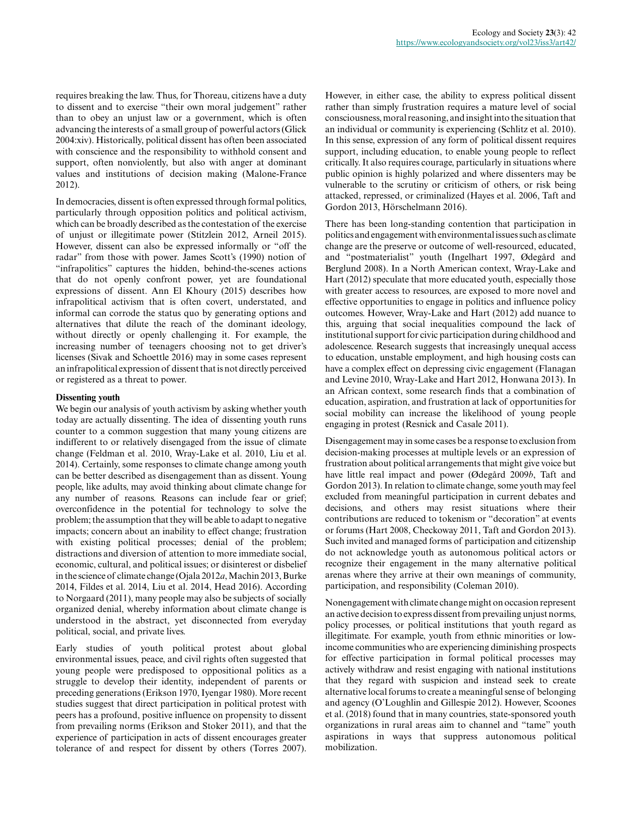requires breaking the law. Thus, for Thoreau, citizens have a duty to dissent and to exercise "their own moral judgement" rather than to obey an unjust law or a government, which is often advancing the interests of a small group of powerful actors (Glick 2004:xiv). Historically, political dissent has often been associated with conscience and the responsibility to withhold consent and support, often nonviolently, but also with anger at dominant values and institutions of decision making (Malone-France 2012).

In democracies, dissent is often expressed through formal politics, particularly through opposition politics and political activism, which can be broadly described as the contestation of the exercise of unjust or illegitimate power (Stitzlein 2012, Arneil 2015). However, dissent can also be expressed informally or "off the radar" from those with power. James Scott's (1990) notion of "infrapolitics" captures the hidden, behind-the-scenes actions that do not openly confront power, yet are foundational expressions of dissent. Ann El Khoury (2015) describes how infrapolitical activism that is often covert, understated, and informal can corrode the status quo by generating options and alternatives that dilute the reach of the dominant ideology, without directly or openly challenging it. For example, the increasing number of teenagers choosing not to get driver's licenses (Sivak and Schoettle 2016) may in some cases represent an infrapolitical expression of dissent that is not directly perceived or registered as a threat to power.

### **Dissenting youth**

We begin our analysis of youth activism by asking whether youth today are actually dissenting. The idea of dissenting youth runs counter to a common suggestion that many young citizens are indifferent to or relatively disengaged from the issue of climate change (Feldman et al. 2010, Wray-Lake et al. 2010, Liu et al. 2014). Certainly, some responses to climate change among youth can be better described as disengagement than as dissent. Young people, like adults, may avoid thinking about climate change for any number of reasons. Reasons can include fear or grief; overconfidence in the potential for technology to solve the problem; the assumption that they will be able to adapt to negative impacts; concern about an inability to effect change; frustration with existing political processes; denial of the problem; distractions and diversion of attention to more immediate social, economic, cultural, and political issues; or disinterest or disbelief in the science of climate change (Ojala 2012*a*, Machin 2013, Burke 2014, Fildes et al. 2014, Liu et al. 2014, Head 2016). According to Norgaard (2011), many people may also be subjects of socially organized denial, whereby information about climate change is understood in the abstract, yet disconnected from everyday political, social, and private lives.

Early studies of youth political protest about global environmental issues, peace, and civil rights often suggested that young people were predisposed to oppositional politics as a struggle to develop their identity, independent of parents or preceding generations (Erikson 1970, Iyengar 1980). More recent studies suggest that direct participation in political protest with peers has a profound, positive influence on propensity to dissent from prevailing norms (Erikson and Stoker 2011), and that the experience of participation in acts of dissent encourages greater tolerance of and respect for dissent by others (Torres 2007).

However, in either case, the ability to express political dissent rather than simply frustration requires a mature level of social consciousness, moral reasoning, and insight into the situation that an individual or community is experiencing (Schlitz et al. 2010). In this sense, expression of any form of political dissent requires support, including education, to enable young people to reflect critically. It also requires courage, particularly in situations where public opinion is highly polarized and where dissenters may be vulnerable to the scrutiny or criticism of others, or risk being attacked, repressed, or criminalized (Hayes et al. 2006, Taft and Gordon 2013, Hörschelmann 2016).

There has been long-standing contention that participation in politics and engagement with environmental issues such as climate change are the preserve or outcome of well-resourced, educated, and "postmaterialist" youth (Ingelhart 1997, Ødegård and Berglund 2008). In a North American context, Wray-Lake and Hart (2012) speculate that more educated youth, especially those with greater access to resources, are exposed to more novel and effective opportunities to engage in politics and influence policy outcomes. However, Wray-Lake and Hart (2012) add nuance to this, arguing that social inequalities compound the lack of institutional support for civic participation during childhood and adolescence. Research suggests that increasingly unequal access to education, unstable employment, and high housing costs can have a complex effect on depressing civic engagement (Flanagan and Levine 2010, Wray-Lake and Hart 2012, Honwana 2013). In an African context, some research finds that a combination of education, aspiration, and frustration at lack of opportunities for social mobility can increase the likelihood of young people engaging in protest (Resnick and Casale 2011).

Disengagement may in some cases be a response to exclusion from decision-making processes at multiple levels or an expression of frustration about political arrangements that might give voice but have little real impact and power (Ødegård 2009*b*, Taft and Gordon 2013). In relation to climate change, some youth may feel excluded from meaningful participation in current debates and decisions, and others may resist situations where their contributions are reduced to tokenism or "decoration" at events or forums (Hart 2008, Checkoway 2011, Taft and Gordon 2013). Such invited and managed forms of participation and citizenship do not acknowledge youth as autonomous political actors or recognize their engagement in the many alternative political arenas where they arrive at their own meanings of community, participation, and responsibility (Coleman 2010).

Nonengagement with climate change might on occasion represent an active decision to express dissent from prevailing unjust norms, policy processes, or political institutions that youth regard as illegitimate. For example, youth from ethnic minorities or lowincome communities who are experiencing diminishing prospects for effective participation in formal political processes may actively withdraw and resist engaging with national institutions that they regard with suspicion and instead seek to create alternative local forums to create a meaningful sense of belonging and agency (O'Loughlin and Gillespie 2012). However, Scoones et al. (2018) found that in many countries, state-sponsored youth organizations in rural areas aim to channel and "tame" youth aspirations in ways that suppress autonomous political mobilization.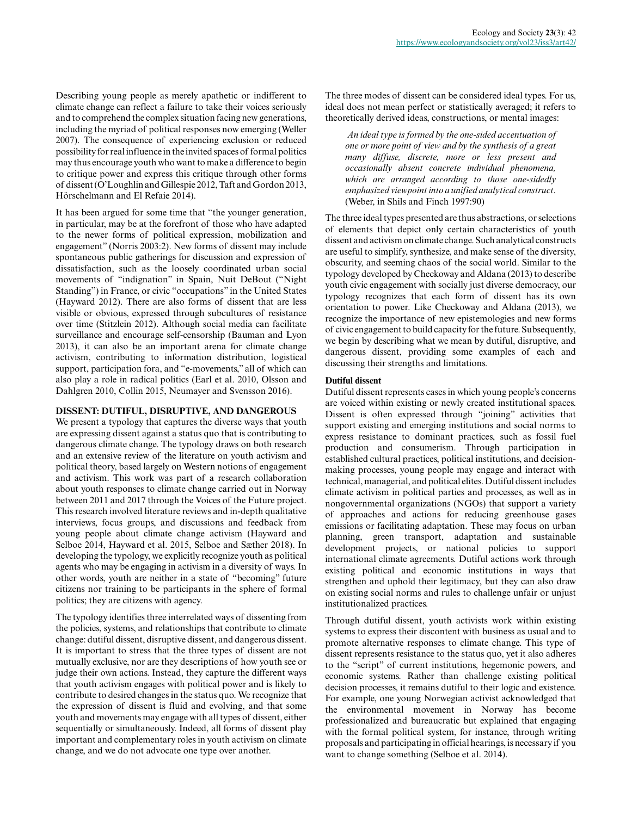Describing young people as merely apathetic or indifferent to climate change can reflect a failure to take their voices seriously and to comprehend the complex situation facing new generations, including the myriad of political responses now emerging (Weller 2007). The consequence of experiencing exclusion or reduced possibility for real influence in the invited spaces of formal politics may thus encourage youth who want to make a difference to begin to critique power and express this critique through other forms of dissent (O'Loughlin and Gillespie 2012, Taft and Gordon 2013, Hörschelmann and El Refaie 2014).

It has been argued for some time that "the younger generation, in particular, may be at the forefront of those who have adapted to the newer forms of political expression, mobilization and engagement" (Norris 2003:2). New forms of dissent may include spontaneous public gatherings for discussion and expression of dissatisfaction, such as the loosely coordinated urban social movements of "indignation" in Spain, Nuit DeBout ("Night Standing") in France, or civic "occupations" in the United States (Hayward 2012). There are also forms of dissent that are less visible or obvious, expressed through subcultures of resistance over time (Stitzlein 2012). Although social media can facilitate surveillance and encourage self-censorship (Bauman and Lyon 2013), it can also be an important arena for climate change activism, contributing to information distribution, logistical support, participation fora, and "e-movements," all of which can also play a role in radical politics (Earl et al. 2010, Olsson and Dahlgren 2010, Collin 2015, Neumayer and Svensson 2016).

## **DISSENT: DUTIFUL, DISRUPTIVE, AND DANGEROUS**

We present a typology that captures the diverse ways that youth are expressing dissent against a status quo that is contributing to dangerous climate change. The typology draws on both research and an extensive review of the literature on youth activism and political theory, based largely on Western notions of engagement and activism. This work was part of a research collaboration about youth responses to climate change carried out in Norway between 2011 and 2017 through the Voices of the Future project. This research involved literature reviews and in-depth qualitative interviews, focus groups, and discussions and feedback from young people about climate change activism (Hayward and Selboe 2014, Hayward et al. 2015, Selboe and Sæther 2018). In developing the typology, we explicitly recognize youth as political agents who may be engaging in activism in a diversity of ways. In other words, youth are neither in a state of "becoming" future citizens nor training to be participants in the sphere of formal politics; they are citizens with agency.

The typology identifies three interrelated ways of dissenting from the policies, systems, and relationships that contribute to climate change: dutiful dissent, disruptive dissent, and dangerous dissent. It is important to stress that the three types of dissent are not mutually exclusive, nor are they descriptions of how youth see or judge their own actions. Instead, they capture the different ways that youth activism engages with political power and is likely to contribute to desired changes in the status quo. We recognize that the expression of dissent is fluid and evolving, and that some youth and movements may engage with all types of dissent, either sequentially or simultaneously. Indeed, all forms of dissent play important and complementary roles in youth activism on climate change, and we do not advocate one type over another.

The three modes of dissent can be considered ideal types. For us, ideal does not mean perfect or statistically averaged; it refers to theoretically derived ideas, constructions, or mental images:

*An ideal type is formed by the one-sided accentuation of one or more point of view and by the synthesis of a great many diffuse, discrete, more or less present and occasionally absent concrete individual phenomena, which are arranged according to those one-sidedly emphasized viewpoint into a unified analytical construct*. (Weber, in Shils and Finch 1997:90)

The three ideal types presented are thus abstractions, or selections of elements that depict only certain characteristics of youth dissent and activism on climate change. Such analytical constructs are useful to simplify, synthesize, and make sense of the diversity, obscurity, and seeming chaos of the social world. Similar to the typology developed by Checkoway and Aldana (2013) to describe youth civic engagement with socially just diverse democracy, our typology recognizes that each form of dissent has its own orientation to power. Like Checkoway and Aldana (2013), we recognize the importance of new epistemologies and new forms of civic engagement to build capacity for the future. Subsequently, we begin by describing what we mean by dutiful, disruptive, and dangerous dissent, providing some examples of each and discussing their strengths and limitations.

## **Dutiful dissent**

Dutiful dissent represents cases in which young people's concerns are voiced within existing or newly created institutional spaces. Dissent is often expressed through "joining" activities that support existing and emerging institutions and social norms to express resistance to dominant practices, such as fossil fuel production and consumerism. Through participation in established cultural practices, political institutions, and decisionmaking processes, young people may engage and interact with technical, managerial, and political elites. Dutiful dissent includes climate activism in political parties and processes, as well as in nongovernmental organizations (NGOs) that support a variety of approaches and actions for reducing greenhouse gases emissions or facilitating adaptation. These may focus on urban planning, green transport, adaptation and sustainable development projects, or national policies to support international climate agreements. Dutiful actions work through existing political and economic institutions in ways that strengthen and uphold their legitimacy, but they can also draw on existing social norms and rules to challenge unfair or unjust institutionalized practices.

Through dutiful dissent, youth activists work within existing systems to express their discontent with business as usual and to promote alternative responses to climate change. This type of dissent represents resistance to the status quo, yet it also adheres to the "script" of current institutions, hegemonic powers, and economic systems. Rather than challenge existing political decision processes, it remains dutiful to their logic and existence. For example, one young Norwegian activist acknowledged that the environmental movement in Norway has become professionalized and bureaucratic but explained that engaging with the formal political system, for instance, through writing proposals and participating in official hearings, is necessary if you want to change something (Selboe et al. 2014).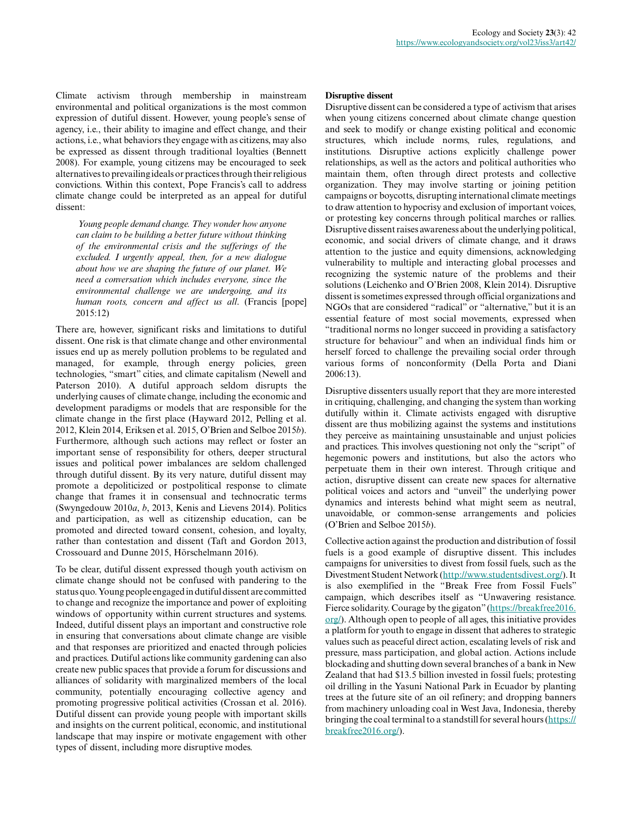Climate activism through membership in mainstream environmental and political organizations is the most common expression of dutiful dissent. However, young people's sense of agency, i.e., their ability to imagine and effect change, and their actions, i.e., what behaviors they engage with as citizens, may also be expressed as dissent through traditional loyalties (Bennett 2008). For example, young citizens may be encouraged to seek alternatives to prevailing ideals or practices through their religious convictions. Within this context, Pope Francis's call to address climate change could be interpreted as an appeal for dutiful dissent:

*Young people demand change. They wonder how anyone can claim to be building a better future without thinking of the environmental crisis and the sufferings of the excluded. I urgently appeal, then, for a new dialogue about how we are shaping the future of our planet. We need a conversation which includes everyone, since the environmental challenge we are undergoing, and its human roots, concern and affect us all*. (Francis [pope] 2015:12)

There are, however, significant risks and limitations to dutiful dissent. One risk is that climate change and other environmental issues end up as merely pollution problems to be regulated and managed, for example, through energy policies, green technologies, "smart" cities, and climate capitalism (Newell and Paterson 2010). A dutiful approach seldom disrupts the underlying causes of climate change, including the economic and development paradigms or models that are responsible for the climate change in the first place (Hayward 2012, Pelling et al. 2012, Klein 2014, Eriksen et al. 2015, O'Brien and Selboe 2015*b*). Furthermore, although such actions may reflect or foster an important sense of responsibility for others, deeper structural issues and political power imbalances are seldom challenged through dutiful dissent. By its very nature, dutiful dissent may promote a depoliticized or postpolitical response to climate change that frames it in consensual and technocratic terms (Swyngedouw 2010*a*, *b*, 2013, Kenis and Lievens 2014). Politics and participation, as well as citizenship education, can be promoted and directed toward consent, cohesion, and loyalty, rather than contestation and dissent (Taft and Gordon 2013, Crossouard and Dunne 2015, Hörschelmann 2016).

To be clear, dutiful dissent expressed though youth activism on climate change should not be confused with pandering to the status quo. Young people engaged in dutiful dissent are committed to change and recognize the importance and power of exploiting windows of opportunity within current structures and systems. Indeed, dutiful dissent plays an important and constructive role in ensuring that conversations about climate change are visible and that responses are prioritized and enacted through policies and practices. Dutiful actions like community gardening can also create new public spaces that provide a forum for discussions and alliances of solidarity with marginalized members of the local community, potentially encouraging collective agency and promoting progressive political activities (Crossan et al. 2016). Dutiful dissent can provide young people with important skills and insights on the current political, economic, and institutional landscape that may inspire or motivate engagement with other types of dissent, including more disruptive modes.

#### **Disruptive dissent**

Disruptive dissent can be considered a type of activism that arises when young citizens concerned about climate change question and seek to modify or change existing political and economic structures, which include norms, rules, regulations, and institutions. Disruptive actions explicitly challenge power relationships, as well as the actors and political authorities who maintain them, often through direct protests and collective organization. They may involve starting or joining petition campaigns or boycotts, disrupting international climate meetings to draw attention to hypocrisy and exclusion of important voices, or protesting key concerns through political marches or rallies. Disruptive dissent raises awareness about the underlying political, economic, and social drivers of climate change, and it draws attention to the justice and equity dimensions, acknowledging vulnerability to multiple and interacting global processes and recognizing the systemic nature of the problems and their solutions (Leichenko and O'Brien 2008, Klein 2014). Disruptive dissent is sometimes expressed through official organizations and NGOs that are considered "radical" or "alternative," but it is an essential feature of most social movements, expressed when "traditional norms no longer succeed in providing a satisfactory structure for behaviour" and when an individual finds him or herself forced to challenge the prevailing social order through various forms of nonconformity (Della Porta and Diani 2006:13).

Disruptive dissenters usually report that they are more interested in critiquing, challenging, and changing the system than working dutifully within it. Climate activists engaged with disruptive dissent are thus mobilizing against the systems and institutions they perceive as maintaining unsustainable and unjust policies and practices. This involves questioning not only the "script" of hegemonic powers and institutions, but also the actors who perpetuate them in their own interest. Through critique and action, disruptive dissent can create new spaces for alternative political voices and actors and "unveil" the underlying power dynamics and interests behind what might seem as neutral, unavoidable, or common-sense arrangements and policies (O'Brien and Selboe 2015*b*).

Collective action against the production and distribution of fossil fuels is a good example of disruptive dissent. This includes campaigns for universities to divest from fossil fuels, such as the Divestment Student Network [\(http://www.studentsdivest.org/\)](http://www.studentsdivest.org/). It is also exemplified in the "Break Free from Fossil Fuels" campaign, which describes itself as "Unwavering resistance. Fierce solidarity. Courage by the gigaton" ([https://breakfree2016.](https://breakfree2016.org/) [org/](https://breakfree2016.org/)). Although open to people of all ages, this initiative provides a platform for youth to engage in dissent that adheres to strategic values such as peaceful direct action, escalating levels of risk and pressure, mass participation, and global action. Actions include blockading and shutting down several branches of a bank in New Zealand that had \$13.5 billion invested in fossil fuels; protesting oil drilling in the Yasuni National Park in Ecuador by planting trees at the future site of an oil refinery; and dropping banners from machinery unloading coal in West Java, Indonesia, thereby bringing the coal terminal to a standstill for several hours [\(https://](https://breakfree2016.org/) [breakfree2016.org/\)](https://breakfree2016.org/).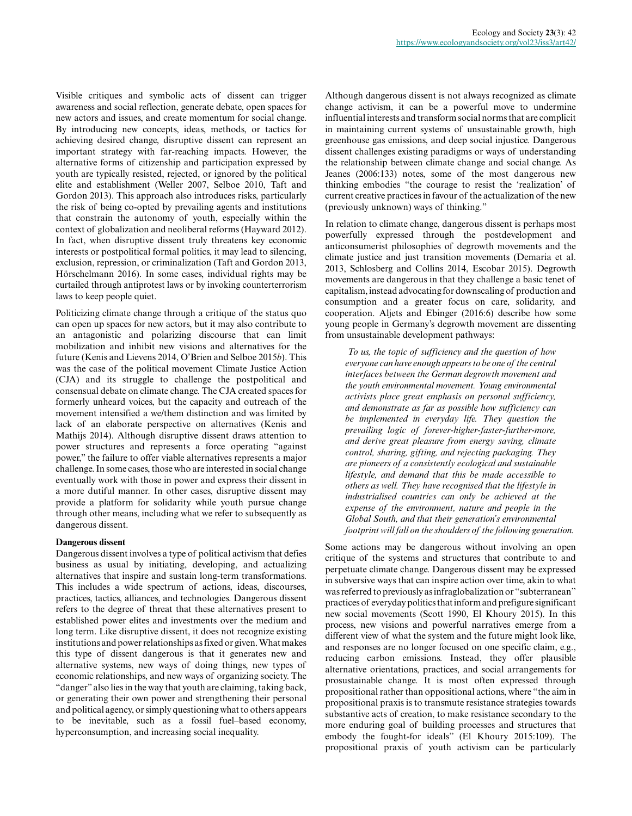Visible critiques and symbolic acts of dissent can trigger awareness and social reflection, generate debate, open spaces for new actors and issues, and create momentum for social change. By introducing new concepts, ideas, methods, or tactics for achieving desired change, disruptive dissent can represent an important strategy with far-reaching impacts. However, the alternative forms of citizenship and participation expressed by youth are typically resisted, rejected, or ignored by the political elite and establishment (Weller 2007, Selboe 2010, Taft and Gordon 2013). This approach also introduces risks, particularly the risk of being co-opted by prevailing agents and institutions that constrain the autonomy of youth, especially within the context of globalization and neoliberal reforms (Hayward 2012). In fact, when disruptive dissent truly threatens key economic interests or postpolitical formal politics, it may lead to silencing, exclusion, repression, or criminalization (Taft and Gordon 2013, Hörschelmann 2016). In some cases, individual rights may be curtailed through antiprotest laws or by invoking counterterrorism laws to keep people quiet.

Politicizing climate change through a critique of the status quo can open up spaces for new actors, but it may also contribute to an antagonistic and polarizing discourse that can limit mobilization and inhibit new visions and alternatives for the future (Kenis and Lievens 2014, O'Brien and Selboe 2015*b*). This was the case of the political movement Climate Justice Action (CJA) and its struggle to challenge the postpolitical and consensual debate on climate change. The CJA created spaces for formerly unheard voices, but the capacity and outreach of the movement intensified a we/them distinction and was limited by lack of an elaborate perspective on alternatives (Kenis and Mathijs 2014). Although disruptive dissent draws attention to power structures and represents a force operating "against power," the failure to offer viable alternatives represents a major challenge. In some cases, those who are interested in social change eventually work with those in power and express their dissent in a more dutiful manner. In other cases, disruptive dissent may provide a platform for solidarity while youth pursue change through other means, including what we refer to subsequently as dangerous dissent.

### **Dangerous dissent**

Dangerous dissent involves a type of political activism that defies business as usual by initiating, developing, and actualizing alternatives that inspire and sustain long-term transformations. This includes a wide spectrum of actions, ideas, discourses, practices, tactics, alliances, and technologies. Dangerous dissent refers to the degree of threat that these alternatives present to established power elites and investments over the medium and long term. Like disruptive dissent, it does not recognize existing institutions and power relationships as fixed or given. What makes this type of dissent dangerous is that it generates new and alternative systems, new ways of doing things, new types of economic relationships, and new ways of organizing society. The "danger" also lies in the way that youth are claiming, taking back, or generating their own power and strengthening their personal and political agency, or simply questioning what to others appears to be inevitable, such as a fossil fuel–based economy, hyperconsumption, and increasing social inequality.

Although dangerous dissent is not always recognized as climate change activism, it can be a powerful move to undermine influential interests and transform social norms that are complicit in maintaining current systems of unsustainable growth, high greenhouse gas emissions, and deep social injustice. Dangerous dissent challenges existing paradigms or ways of understanding the relationship between climate change and social change. As Jeanes (2006:133) notes, some of the most dangerous new thinking embodies "the courage to resist the 'realization' of current creative practices in favour of the actualization of the new (previously unknown) ways of thinking."

In relation to climate change, dangerous dissent is perhaps most powerfully expressed through the postdevelopment and anticonsumerist philosophies of degrowth movements and the climate justice and just transition movements (Demaria et al. 2013, Schlosberg and Collins 2014, Escobar 2015). Degrowth movements are dangerous in that they challenge a basic tenet of capitalism, instead advocating for downscaling of production and consumption and a greater focus on care, solidarity, and cooperation. Aljets and Ebinger (2016:6) describe how some young people in Germany's degrowth movement are dissenting from unsustainable development pathways:

*To us, the topic of sufficiency and the question of how everyone can have enough appears to be one of the central interfaces between the German degrowth movement and the youth environmental movement. Young environmental activists place great emphasis on personal sufficiency, and demonstrate as far as possible how sufficiency can be implemented in everyday life. They question the prevailing logic of forever-higher-faster-further-more, and derive great pleasure from energy saving, climate control, sharing, gifting, and rejecting packaging. They are pioneers of a consistently ecological and sustainable lifestyle, and demand that this be made accessible to others as well. They have recognised that the lifestyle in industrialised countries can only be achieved at the expense of the environment, nature and people in the Global South, and that their generation's environmental footprint will fall on the shoulders of the following generation.*

Some actions may be dangerous without involving an open critique of the systems and structures that contribute to and perpetuate climate change. Dangerous dissent may be expressed in subversive ways that can inspire action over time, akin to what was referred to previously as infraglobalization or "subterranean" practices of everyday politics that inform and prefigure significant new social movements (Scott 1990, El Khoury 2015). In this process, new visions and powerful narratives emerge from a different view of what the system and the future might look like, and responses are no longer focused on one specific claim, e.g., reducing carbon emissions. Instead, they offer plausible alternative orientations, practices, and social arrangements for prosustainable change. It is most often expressed through propositional rather than oppositional actions, where "the aim in propositional praxis is to transmute resistance strategies towards substantive acts of creation, to make resistance secondary to the more enduring goal of building processes and structures that embody the fought-for ideals" (El Khoury 2015:109). The propositional praxis of youth activism can be particularly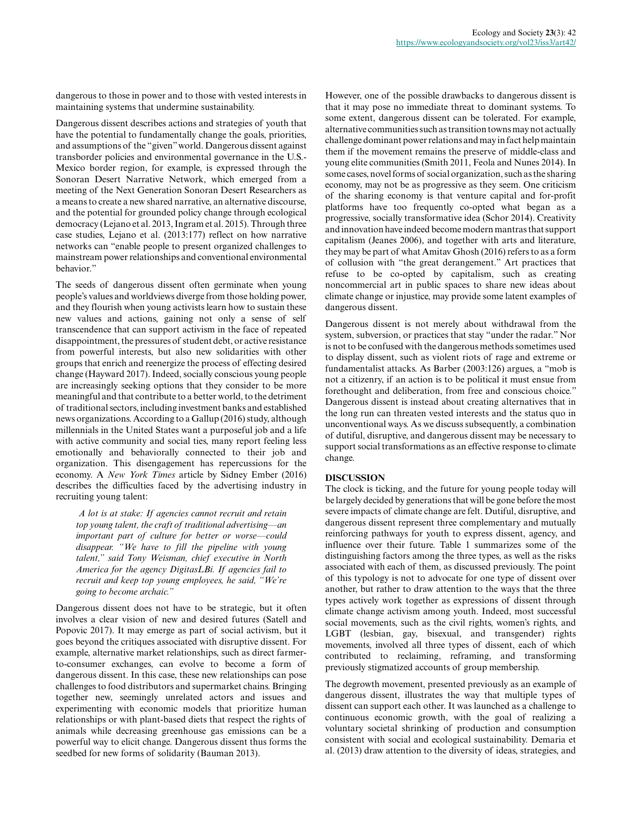dangerous to those in power and to those with vested interests in maintaining systems that undermine sustainability.

Dangerous dissent describes actions and strategies of youth that have the potential to fundamentally change the goals, priorities, and assumptions of the "given" world. Dangerous dissent against transborder policies and environmental governance in the U.S.- Mexico border region, for example, is expressed through the Sonoran Desert Narrative Network, which emerged from a meeting of the Next Generation Sonoran Desert Researchers as a means to create a new shared narrative, an alternative discourse, and the potential for grounded policy change through ecological democracy (Lejano et al. 2013, Ingram et al. 2015). Through three case studies, Lejano et al. (2013:177) reflect on how narrative networks can "enable people to present organized challenges to mainstream power relationships and conventional environmental behavior."

The seeds of dangerous dissent often germinate when young people's values and worldviews diverge from those holding power, and they flourish when young activists learn how to sustain these new values and actions, gaining not only a sense of self transcendence that can support activism in the face of repeated disappointment, the pressures of student debt, or active resistance from powerful interests, but also new solidarities with other groups that enrich and reenergize the process of effecting desired change (Hayward 2017). Indeed, socially conscious young people are increasingly seeking options that they consider to be more meaningful and that contribute to a better world, to the detriment of traditional sectors, including investment banks and established news organizations. According to a Gallup (2016) study, although millennials in the United States want a purposeful job and a life with active community and social ties, many report feeling less emotionally and behaviorally connected to their job and organization. This disengagement has repercussions for the economy. A *New York Times* article by Sidney Ember (2016) describes the difficulties faced by the advertising industry in recruiting young talent:

*A lot is at stake: If agencies cannot recruit and retain top young talent, the craft of traditional advertising—an important part of culture for better or worse—could disappear. "We have to fill the pipeline with young talent," said Tony Weisman, chief executive in North America for the agency DigitasLBi. If agencies fail to recruit and keep top young employees, he said, "We're going to become archaic."*

Dangerous dissent does not have to be strategic, but it often involves a clear vision of new and desired futures (Satell and Popovic 2017). It may emerge as part of social activism, but it goes beyond the critiques associated with disruptive dissent. For example, alternative market relationships, such as direct farmerto-consumer exchanges, can evolve to become a form of dangerous dissent. In this case, these new relationships can pose challenges to food distributors and supermarket chains. Bringing together new, seemingly unrelated actors and issues and experimenting with economic models that prioritize human relationships or with plant-based diets that respect the rights of animals while decreasing greenhouse gas emissions can be a powerful way to elicit change. Dangerous dissent thus forms the seedbed for new forms of solidarity (Bauman 2013).

However, one of the possible drawbacks to dangerous dissent is that it may pose no immediate threat to dominant systems. To some extent, dangerous dissent can be tolerated. For example, alternative communities such as transition towns may not actually challenge dominant power relations and may in fact help maintain them if the movement remains the preserve of middle-class and young elite communities (Smith 2011, Feola and Nunes 2014). In some cases, novel forms of social organization, such as the sharing economy, may not be as progressive as they seem. One criticism of the sharing economy is that venture capital and for-profit platforms have too frequently co-opted what began as a progressive, socially transformative idea (Schor 2014). Creativity and innovation have indeed become modern mantras that support capitalism (Jeanes 2006), and together with arts and literature, they may be part of what Amitav Ghosh (2016) refers to as a form of collusion with "the great derangement." Art practices that refuse to be co-opted by capitalism, such as creating noncommercial art in public spaces to share new ideas about climate change or injustice, may provide some latent examples of dangerous dissent.

Dangerous dissent is not merely about withdrawal from the system, subversion, or practices that stay "under the radar." Nor is not to be confused with the dangerous methods sometimes used to display dissent, such as violent riots of rage and extreme or fundamentalist attacks. As Barber (2003:126) argues, a "mob is not a citizenry, if an action is to be political it must ensue from forethought and deliberation, from free and conscious choice." Dangerous dissent is instead about creating alternatives that in the long run can threaten vested interests and the status quo in unconventional ways. As we discuss subsequently, a combination of dutiful, disruptive, and dangerous dissent may be necessary to support social transformations as an effective response to climate change.

## **DISCUSSION**

The clock is ticking, and the future for young people today will be largely decided by generations that will be gone before the most severe impacts of climate change are felt. Dutiful, disruptive, and dangerous dissent represent three complementary and mutually reinforcing pathways for youth to express dissent, agency, and influence over their future. Table 1 summarizes some of the distinguishing factors among the three types, as well as the risks associated with each of them, as discussed previously. The point of this typology is not to advocate for one type of dissent over another, but rather to draw attention to the ways that the three types actively work together as expressions of dissent through climate change activism among youth. Indeed, most successful social movements, such as the civil rights, women's rights, and LGBT (lesbian, gay, bisexual, and transgender) rights movements, involved all three types of dissent, each of which contributed to reclaiming, reframing, and transforming previously stigmatized accounts of group membership.

The degrowth movement, presented previously as an example of dangerous dissent, illustrates the way that multiple types of dissent can support each other. It was launched as a challenge to continuous economic growth, with the goal of realizing a voluntary societal shrinking of production and consumption consistent with social and ecological sustainability. Demaria et al. (2013) draw attention to the diversity of ideas, strategies, and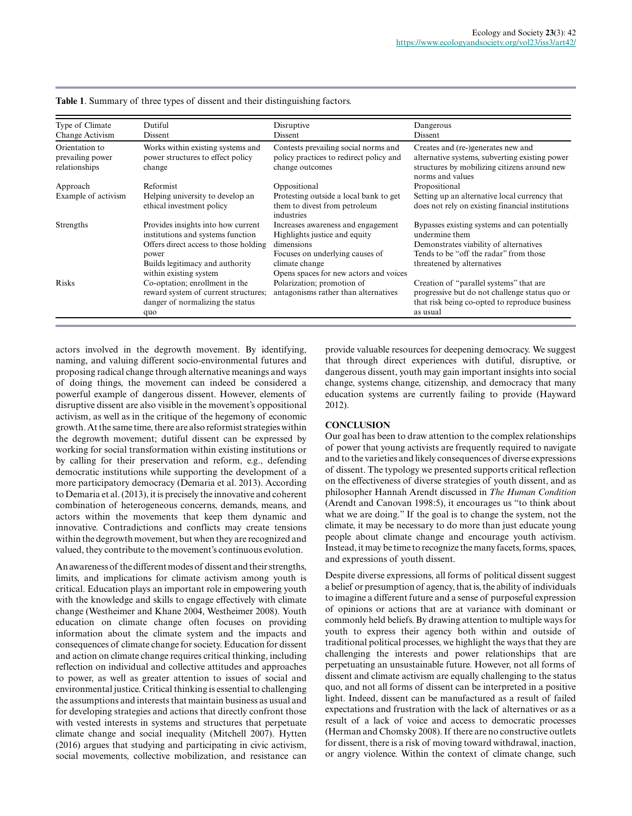| Type of Climate     | Dutiful                               | Disruptive                                  | Dangerous                                                        |
|---------------------|---------------------------------------|---------------------------------------------|------------------------------------------------------------------|
| Change Activism     | Dissent                               | Dissent                                     | Dissent                                                          |
| Orientation to      | Works within existing systems and     | Contests prevailing social norms and        | Creates and (re-)generates new and                               |
| prevailing power    | power structures to effect policy     | policy practices to redirect policy and     | alternative systems, subverting existing power                   |
| relationships       | change                                | change outcomes                             | structures by mobilizing citizens around new<br>norms and values |
| Approach            | Reformist                             | Oppositional                                | Propositional                                                    |
| Example of activism | Helping university to develop an      | Protesting outside a local bank to get      | Setting up an alternative local currency that                    |
|                     | ethical investment policy             | them to divest from petroleum<br>industries | does not rely on existing financial institutions                 |
| Strengths           | Provides insights into how current    | Increases awareness and engagement          | Bypasses existing systems and can potentially                    |
|                     | institutions and systems function     | Highlights justice and equity               | undermine them                                                   |
|                     | Offers direct access to those holding | dimensions                                  | Demonstrates viability of alternatives                           |
|                     | power                                 | Focuses on underlying causes of             | Tends to be "off the radar" from those                           |
|                     | Builds legitimacy and authority       | climate change                              | threatened by alternatives                                       |
|                     | within existing system                | Opens spaces for new actors and voices      |                                                                  |
| <b>Risks</b>        | Co-optation; enrollment in the        | Polarization; promotion of                  | Creation of "parallel systems" that are                          |
|                     | reward system of current structures;  | antagonisms rather than alternatives        | progressive but do not challenge status quo or                   |
|                     | danger of normalizing the status      |                                             | that risk being co-opted to reproduce business                   |
|                     | quo                                   |                                             | as usual                                                         |

**Table 1**. Summary of three types of dissent and their distinguishing factors.

actors involved in the degrowth movement. By identifying, naming, and valuing different socio-environmental futures and proposing radical change through alternative meanings and ways of doing things, the movement can indeed be considered a powerful example of dangerous dissent. However, elements of disruptive dissent are also visible in the movement's oppositional activism, as well as in the critique of the hegemony of economic growth. At the same time, there are also reformist strategies within the degrowth movement; dutiful dissent can be expressed by working for social transformation within existing institutions or by calling for their preservation and reform, e.g., defending democratic institutions while supporting the development of a more participatory democracy (Demaria et al. 2013). According to Demaria et al. (2013), it is precisely the innovative and coherent combination of heterogeneous concerns, demands, means, and actors within the movements that keep them dynamic and innovative. Contradictions and conflicts may create tensions within the degrowth movement, but when they are recognized and valued, they contribute to the movement's continuous evolution.

An awareness of the different modes of dissent and their strengths, limits, and implications for climate activism among youth is critical. Education plays an important role in empowering youth with the knowledge and skills to engage effectively with climate change (Westheimer and Khane 2004, Westheimer 2008). Youth education on climate change often focuses on providing information about the climate system and the impacts and consequences of climate change for society. Education for dissent and action on climate change requires critical thinking, including reflection on individual and collective attitudes and approaches to power, as well as greater attention to issues of social and environmental justice. Critical thinking is essential to challenging the assumptions and interests that maintain business as usual and for developing strategies and actions that directly confront those with vested interests in systems and structures that perpetuate climate change and social inequality (Mitchell 2007). Hytten (2016) argues that studying and participating in civic activism, social movements, collective mobilization, and resistance can

provide valuable resources for deepening democracy. We suggest that through direct experiences with dutiful, disruptive, or dangerous dissent, youth may gain important insights into social change, systems change, citizenship, and democracy that many education systems are currently failing to provide (Hayward 2012).

#### **CONCLUSION**

Our goal has been to draw attention to the complex relationships of power that young activists are frequently required to navigate and to the varieties and likely consequences of diverse expressions of dissent. The typology we presented supports critical reflection on the effectiveness of diverse strategies of youth dissent, and as philosopher Hannah Arendt discussed in *The Human Condition* (Arendt and Canovan 1998:5), it encourages us "to think about what we are doing." If the goal is to change the system, not the climate, it may be necessary to do more than just educate young people about climate change and encourage youth activism. Instead, it may be time to recognize the many facets, forms, spaces, and expressions of youth dissent.

Despite diverse expressions, all forms of political dissent suggest a belief or presumption of agency, that is, the ability of individuals to imagine a different future and a sense of purposeful expression of opinions or actions that are at variance with dominant or commonly held beliefs. By drawing attention to multiple ways for youth to express their agency both within and outside of traditional political processes, we highlight the ways that they are challenging the interests and power relationships that are perpetuating an unsustainable future. However, not all forms of dissent and climate activism are equally challenging to the status quo, and not all forms of dissent can be interpreted in a positive light. Indeed, dissent can be manufactured as a result of failed expectations and frustration with the lack of alternatives or as a result of a lack of voice and access to democratic processes (Herman and Chomsky 2008). If there are no constructive outlets for dissent, there is a risk of moving toward withdrawal, inaction, or angry violence. Within the context of climate change, such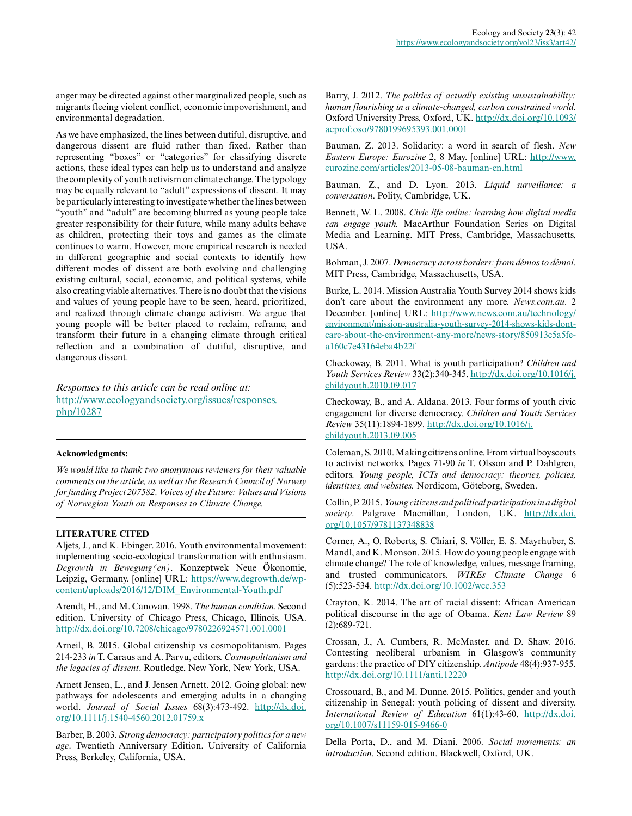anger may be directed against other marginalized people, such as migrants fleeing violent conflict, economic impoverishment, and environmental degradation.

As we have emphasized, the lines between dutiful, disruptive, and dangerous dissent are fluid rather than fixed. Rather than representing "boxes" or "categories" for classifying discrete actions, these ideal types can help us to understand and analyze the complexity of youth activism on climate change. The typology may be equally relevant to "adult" expressions of dissent. It may be particularly interesting to investigate whether the lines between "youth" and "adult" are becoming blurred as young people take greater responsibility for their future, while many adults behave as children, protecting their toys and games as the climate continues to warm. However, more empirical research is needed in different geographic and social contexts to identify how different modes of dissent are both evolving and challenging existing cultural, social, economic, and political systems, while also creating viable alternatives. There is no doubt that the visions and values of young people have to be seen, heard, prioritized, and realized through climate change activism. We argue that young people will be better placed to reclaim, reframe, and transform their future in a changing climate through critical reflection and a combination of dutiful, disruptive, and dangerous dissent.

*Responses to this article can be read online at:* [http://www.ecologyandsociety.org/issues/responses.](http://www.ecologyandsociety.org/issues/responses.php/10287) [php/10287](http://www.ecologyandsociety.org/issues/responses.php/10287)

#### **Acknowledgments:**

*We would like to thank two anonymous reviewers for their valuable comments on the article, as well as the Research Council of Norway for funding Project 207582, Voices of the Future: Values and Visions of Norwegian Youth on Responses to Climate Change.*

#### **LITERATURE CITED**

Aljets, J., and K. Ebinger. 2016. Youth environmental movement: implementing socio-ecological transformation with enthusiasm. *Degrowth in Bewegung(en)*. Konzeptwek Neue Ökonomie, Leipzig, Germany. [online] URL: [https://www.degrowth.de/wp](https://www.degrowth.de/wp-content/uploads/2016/12/DIM_Environmental-Youth.pdf)[content/uploads/2016/12/DIM\\_Environmental-Youth.pdf](https://www.degrowth.de/wp-content/uploads/2016/12/DIM_Environmental-Youth.pdf)

Arendt, H., and M. Canovan. 1998. *The human condition*. Second edition. University of Chicago Press, Chicago, Illinois, USA. [http://dx.doi.org/10.7208/chicago/9780226924571.001.0001](http://dx.doi.org/10.7208%2Fchicago%2F9780226924571.001.0001) 

Arneil, B. 2015. Global citizenship vs cosmopolitanism. Pages 214-233 *in* T. Caraus and A. Parvu, editors. *Cosmopolitanism and the legacies of dissent*. Routledge, New York, New York, USA.

Arnett Jensen, L., and J. Jensen Arnett. 2012. Going global: new pathways for adolescents and emerging adults in a changing world. *Journal of Social Issues* 68(3):473-492. [http://dx.doi.](http://dx.doi.org/10.1111%2Fj.1540-4560.2012.01759.x) [org/10.1111/j.1540-4560.2012.01759.x](http://dx.doi.org/10.1111%2Fj.1540-4560.2012.01759.x)

Barber, B. 2003. *Strong democracy: participatory politics for a new age*. Twentieth Anniversary Edition. University of California Press, Berkeley, California, USA.

Barry, J. 2012. *The politics of actually existing unsustainability: human flourishing in a climate-changed, carbon constrained world*. Oxford University Press, Oxford, UK. [http://dx.doi.org/10.1093/](http://dx.doi.org/10.1093%2Facprof%3Aoso%2F9780199695393.001.0001) [acprof:oso/9780199695393.001.0001](http://dx.doi.org/10.1093%2Facprof%3Aoso%2F9780199695393.001.0001) 

Bauman, Z. 2013. Solidarity: a word in search of flesh. *New Eastern Europe: Eurozine* 2, 8 May. [online] URL: [http://www.](http://www.eurozine.com/articles/2013-05-08-bauman-en.html) [eurozine.com/articles/2013-05-08-bauman-en.html](http://www.eurozine.com/articles/2013-05-08-bauman-en.html)

Bauman, Z., and D. Lyon. 2013. *Liquid surveillance: a conversation*. Polity, Cambridge, UK.

Bennett, W. L. 2008. *Civic life online: learning how digital media can engage youth.* MacArthur Foundation Series on Digital Media and Learning. MIT Press, Cambridge, Massachusetts, USA.

Bohman, J. 2007. *Democracy across borders: from dêmos to dêmoi*. MIT Press, Cambridge, Massachusetts, USA.

Burke, L. 2014. Mission Australia Youth Survey 2014 shows kids don't care about the environment any more. *News.com.au*. 2 December. [online] URL: [http://www.news.com.au/technology/](http://www.news.com.au/technology/environment/mission-australia-youth-survey-2014-shows-kids-dont-care-about-the-environment-any-more/news-story/850913c5a5fea160c7e43164eba4b22f) [environment/mission-australia-youth-survey-2014-shows-kids-dont](http://www.news.com.au/technology/environment/mission-australia-youth-survey-2014-shows-kids-dont-care-about-the-environment-any-more/news-story/850913c5a5fea160c7e43164eba4b22f)[care-about-the-environment-any-more/news-story/850913c5a5fe](http://www.news.com.au/technology/environment/mission-australia-youth-survey-2014-shows-kids-dont-care-about-the-environment-any-more/news-story/850913c5a5fea160c7e43164eba4b22f)[a160c7e43164eba4b22f](http://www.news.com.au/technology/environment/mission-australia-youth-survey-2014-shows-kids-dont-care-about-the-environment-any-more/news-story/850913c5a5fea160c7e43164eba4b22f)

Checkoway, B. 2011. What is youth participation? *Children and Youth Services Review* 33(2):340-345. [http://dx.doi.org/10.1016/j.](http://dx.doi.org/10.1016%2Fj.childyouth.2010.09.017) [childyouth.2010.09.017](http://dx.doi.org/10.1016%2Fj.childyouth.2010.09.017)

Checkoway, B., and A. Aldana. 2013. Four forms of youth civic engagement for diverse democracy. *Children and Youth Services Review* 35(11):1894-1899. [http://dx.doi.org/10.1016/j.](http://dx.doi.org/10.1016%2Fj.childyouth.2013.09.005) [childyouth.2013.09.005](http://dx.doi.org/10.1016%2Fj.childyouth.2013.09.005)

Coleman, S. 2010. Making citizens online. From virtual boyscouts to activist networks. Pages 71-90 *in* T. Olsson and P. Dahlgren, editors. *Young people, ICTs and democracy: theories, policies, identities, and websites.* Nordicom, Göteborg, Sweden.

Collin, P. 2015. *Young citizens and political participation in a digital society*. Palgrave Macmillan, London, UK. [http://dx.doi.](http://dx.doi.org/10.1057%2F9781137348838) [org/10.1057/9781137348838](http://dx.doi.org/10.1057%2F9781137348838) 

Corner, A., O. Roberts, S. Chiari, S. Völler, E. S. Mayrhuber, S. Mandl, and K. Monson. 2015. How do young people engage with climate change? The role of knowledge, values, message framing, and trusted communicators. *WIREs Climate Change* 6 (5):523-534. [http://dx.doi.org/10.1002/wcc.353](http://dx.doi.org/10.1002%2Fwcc.353)

Crayton, K. 2014. The art of racial dissent: African American political discourse in the age of Obama. *Kent Law Review* 89 (2):689-721.

Crossan, J., A. Cumbers, R. McMaster, and D. Shaw. 2016. Contesting neoliberal urbanism in Glasgow's community gardens: the practice of DIY citizenship. *Antipode* 48(4):937-955. [http://dx.doi.org/10.1111/anti.12220](http://dx.doi.org/10.1111%2Fanti.12220)

Crossouard, B., and M. Dunne. 2015. Politics, gender and youth citizenship in Senegal: youth policing of dissent and diversity. *International Review of Education* 61(1):43-60. [http://dx.doi.](http://dx.doi.org/10.1007%2Fs11159-015-9466-0) [org/10.1007/s11159-015-9466-0](http://dx.doi.org/10.1007%2Fs11159-015-9466-0)

Della Porta, D., and M. Diani. 2006. *Social movements: an introduction*. Second edition. Blackwell, Oxford, UK.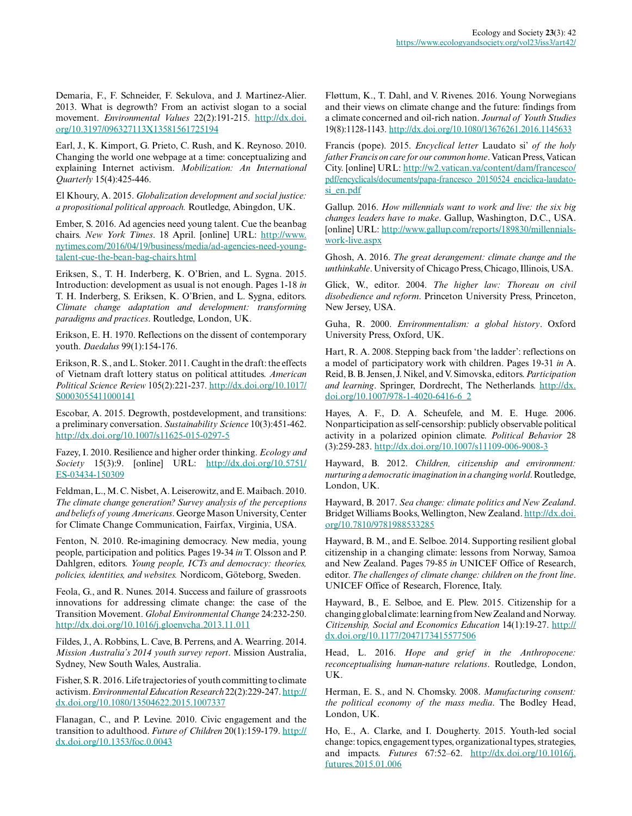Demaria, F., F. Schneider, F. Sekulova, and J. Martinez-Alier. 2013. What is degrowth? From an activist slogan to a social movement. *Environmental Values* 22(2):191-215. [http://dx.doi.](http://dx.doi.org/10.3197%2F096327113X13581561725194) [org/10.3197/096327113X13581561725194](http://dx.doi.org/10.3197%2F096327113X13581561725194) 

Earl, J., K. Kimport, G. Prieto, C. Rush, and K. Reynoso. 2010. Changing the world one webpage at a time: conceptualizing and explaining Internet activism. *Mobilization: An International Quarterly* 15(4):425-446.

El Khoury, A. 2015. *Globalization development and social justice: a propositional political approach.* Routledge, Abingdon, UK.

Ember, S. 2016. Ad agencies need young talent. Cue the beanbag chairs. *New York Times*. 18 April. [online] URL: [http://www.](http://www.nytimes.com/2016/04/19/business/media/ad-agencies-need-young-talent-cue-the-bean-bag-chairs.html) [nytimes.com/2016/04/19/business/media/ad-agencies-need-young](http://www.nytimes.com/2016/04/19/business/media/ad-agencies-need-young-talent-cue-the-bean-bag-chairs.html)[talent-cue-the-bean-bag-chairs.html](http://www.nytimes.com/2016/04/19/business/media/ad-agencies-need-young-talent-cue-the-bean-bag-chairs.html)

Eriksen, S., T. H. Inderberg, K. O'Brien, and L. Sygna. 2015. Introduction: development as usual is not enough. Pages 1-18 *in* T. H. Inderberg, S. Eriksen, K. O'Brien, and L. Sygna, editors. *Climate change adaptation and development: transforming paradigms and practices*. Routledge, London, UK.

Erikson, E. H. 1970. Reflections on the dissent of contemporary youth. *Daedalus* 99(1):154-176.

Erikson, R. S., and L. Stoker. 2011. Caught in the draft: the effects of Vietnam draft lottery status on political attitudes. *American Political Science Review* 105(2):221-237. [http://dx.doi.org/10.1017/](http://dx.doi.org/10.1017%2FS0003055411000141) [S0003055411000141](http://dx.doi.org/10.1017%2FS0003055411000141) 

Escobar, A. 2015. Degrowth, postdevelopment, and transitions: a preliminary conversation. *Sustainability Science* 10(3):451-462. [http://dx.doi.org/10.1007/s11625-015-0297-5](http://dx.doi.org/10.1007%2Fs11625-015-0297-5)

Fazey, I. 2010. Resilience and higher order thinking. *Ecology and Society* 15(3):9. [online] URL: [http://dx.doi.org/10.5751/](http://dx.doi.org/10.5751%2FES-03434-150309) [ES-03434-150309](http://dx.doi.org/10.5751%2FES-03434-150309)

Feldman, L., M. C. Nisbet, A. Leiserowitz, and E. Maibach. 2010. *The climate change generation? Survey analysis of the perceptions and beliefs of young Americans*. George Mason University, Center for Climate Change Communication, Fairfax, Virginia, USA.

Fenton, N. 2010. Re-imagining democracy. New media, young people, participation and politics. Pages 19-34 *in* T. Olsson and P. Dahlgren, editors. *Young people, ICTs and democracy: theories, policies, identities, and websites.* Nordicom, Göteborg, Sweden.

Feola, G., and R. Nunes. 2014. Success and failure of grassroots innovations for addressing climate change: the case of the Transition Movement. *Global Environmental Change* 24:232-250. [http://dx.doi.org/10.1016/j.gloenvcha.2013.11.011](http://dx.doi.org/10.1016%2Fj.gloenvcha.2013.11.011)

Fildes, J., A. Robbins, L. Cave, B. Perrens, and A. Wearring. 2014. *Mission Australia's 2014 youth survey report*. Mission Australia, Sydney, New South Wales, Australia.

Fisher, S. R. 2016. Life trajectories of youth committing to climate activism. *Environmental Education Research* 22(2):229-247. [http://](http://dx.doi.org/10.1080%2F13504622.2015.1007337) [dx.doi.org/10.1080/13504622.2015.1007337](http://dx.doi.org/10.1080%2F13504622.2015.1007337)

Flanagan, C., and P. Levine. 2010. Civic engagement and the transition to adulthood. *Future of Children* 20(1):159-179. [http://](http://dx.doi.org/10.1353%2Ffoc.0.0043) [dx.doi.org/10.1353/foc.0.0043](http://dx.doi.org/10.1353%2Ffoc.0.0043) 

Fløttum, K., T. Dahl, and V. Rivenes. 2016. Young Norwegians and their views on climate change and the future: findings from a climate concerned and oil-rich nation. *Journal of Youth Studies* 19(8):1128-1143. [http://dx.doi.org/10.1080/13676261.2016.1145633](http://dx.doi.org/10.1080%2F13676261.2016.1145633) 

Francis (pope). 2015. *Encyclical letter* Laudato si' *of the holy father Francis on care for our common home*. Vatican Press, Vatican City. [online] URL: [http://w2.vatican.va/content/dam/francesco/](http://w2.vatican.va/content/dam/francesco/pdf/encyclicals/documents/papa-francesco_20150524_enciclica-laudato-si_en.pdf) [pdf/encyclicals/documents/papa-francesco\\_20150524\\_enciclica-laudato](http://w2.vatican.va/content/dam/francesco/pdf/encyclicals/documents/papa-francesco_20150524_enciclica-laudato-si_en.pdf)si en.pdf

Gallup. 2016. *How millennials want to work and live: the six big changes leaders have to make*. Gallup, Washington, D.C., USA. [online] URL: [http://www.gallup.com/reports/189830/millennials](http://www.gallup.com/reports/189830/millennials-work-live.aspx)[work-live.aspx](http://www.gallup.com/reports/189830/millennials-work-live.aspx) 

Ghosh, A. 2016. *The great derangement: climate change and the unthinkable*. University of Chicago Press, Chicago, Illinois, USA.

Glick, W., editor. 2004. *The higher law: Thoreau on civil disobedience and reform*. Princeton University Press, Princeton, New Jersey, USA.

Guha, R. 2000. *Environmentalism: a global history*. Oxford University Press, Oxford, UK.

Hart, R. A. 2008. Stepping back from 'the ladder': reflections on a model of participatory work with children. Pages 19-31 *in* A. Reid, B. B. Jensen, J. Nikel, and V. Simovska, editors. *Participation and learning*. Springer, Dordrecht, The Netherlands. [http://dx.](http://dx.doi.org/10.1007%2F978-1-4020-6416-6_2) [doi.org/10.1007/978-1-4020-6416-6\\_2](http://dx.doi.org/10.1007%2F978-1-4020-6416-6_2)

Hayes, A. F., D. A. Scheufele, and M. E. Huge. 2006. Nonparticipation as self-censorship: publicly observable political activity in a polarized opinion climate. *Political Behavior* 28 (3):259-283. [http://dx.doi.org/10.1007/s11109-006-9008-3](http://dx.doi.org/10.1007%2Fs11109-006-9008-3) 

Hayward, B. 2012. *Children, citizenship and environment: nurturing a democratic imagination in a changing world*. Routledge, London, UK.

Hayward, B. 2017. *Sea change: climate politics and New Zealand*. Bridget Williams Books, Wellington, New Zealand. [http://dx.doi.](http://dx.doi.org/10.7810%2F9781988533285) [org/10.7810/9781988533285](http://dx.doi.org/10.7810%2F9781988533285) 

Hayward, B. M., and E. Selboe. 2014. Supporting resilient global citizenship in a changing climate: lessons from Norway, Samoa and New Zealand. Pages 79-85 *in* UNICEF Office of Research, editor. *The challenges of climate change: children on the front line*. UNICEF Office of Research, Florence, Italy.

Hayward, B., E. Selboe, and E. Plew. 2015. Citizenship for a changing global climate: learning from New Zealand and Norway. *Citizenship, Social and Economics Education* 14(1):19-27. [http://](http://dx.doi.org/10.1177%2F2047173415577506) [dx.doi.org/10.1177/2047173415577506](http://dx.doi.org/10.1177%2F2047173415577506) 

Head, L. 2016. *Hope and grief in the Anthropocene: reconceptualising human-nature relations*. Routledge, London, UK.

Herman, E. S., and N. Chomsky. 2008. *Manufacturing consent: the political economy of the mass media*. The Bodley Head, London, UK.

Ho, E., A. Clarke, and I. Dougherty. 2015. Youth-led social change: topics, engagement types, organizational types, strategies, and impacts. *Futures* 67:52–62. [http://dx.doi.org/10.1016/j.](http://dx.doi.org/10.1016/j.futures.2015.01.006) [futures.2015.01.006](http://dx.doi.org/10.1016/j.futures.2015.01.006)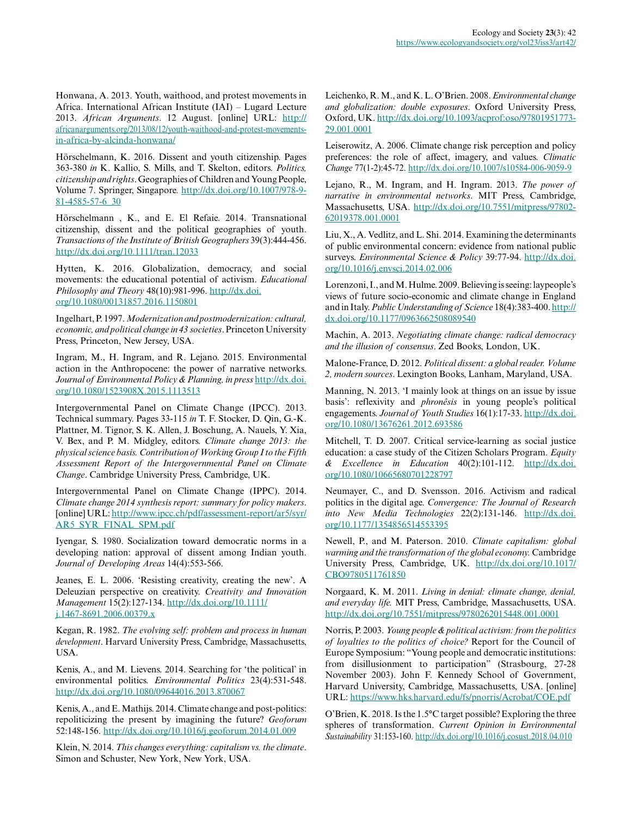Honwana, A. 2013. Youth, waithood, and protest movements in Africa. International African Institute (IAI) – Lugard Lecture 2013. *African Arguments*. 12 August. [online] URL: [http://](http://africanarguments.org/2013/08/12/youth-waithood-and-protest-movements-in-africa-by-alcinda-honwana/) [africanarguments.org/2013/08/12/youth-waithood-and-protest-movements](http://africanarguments.org/2013/08/12/youth-waithood-and-protest-movements-in-africa-by-alcinda-honwana/)[in-africa-by-alcinda-honwana/](http://africanarguments.org/2013/08/12/youth-waithood-and-protest-movements-in-africa-by-alcinda-honwana/) 

Hörschelmann, K. 2016. Dissent and youth citizenship. Pages 363-380 *in* K. Kallio, S. Mills, and T. Skelton, editors. *Politics, citizenship and rights*. Geographies of Children and Young People, Volume 7. Springer, Singapore. [http://dx.doi.org/10.1007/978-9](http://dx.doi.org/10.1007%2F978-981-4585-57-6_30) [81-4585-57-6\\_30](http://dx.doi.org/10.1007%2F978-981-4585-57-6_30) 

Hörschelmann , K., and E. El Refaie. 2014. Transnational citizenship, dissent and the political geographies of youth. *Transactions of the Institute of British Geographers* 39(3):444-456. [http://dx.doi.org/10.1111/tran.12033](http://dx.doi.org/10.1111%2Ftran.12033)

Hytten, K. 2016. Globalization, democracy, and social movements: the educational potential of activism. *Educational Philosophy and Theory* 48(10):981-996. [http://dx.doi.](http://dx.doi.org/10.1080%2F00131857.2016.1150801) [org/10.1080/00131857.2016.1150801](http://dx.doi.org/10.1080%2F00131857.2016.1150801) 

Ingelhart, P. 1997. *Modernization and postmodernization: cultural, economic, and political change in 43 societies*. Princeton University Press, Princeton, New Jersey, USA.

Ingram, M., H. Ingram, and R. Lejano. 2015. Environmental action in the Anthropocene: the power of narrative networks. *Journal of Environmental Policy & Planning, in press* [http://dx.doi.](http://dx.doi.org/10.1080%2F1523908X.2015.1113513) [org/10.1080/1523908X.2015.1113513](http://dx.doi.org/10.1080%2F1523908X.2015.1113513)

Intergovernmental Panel on Climate Change (IPCC). 2013. Technical summary. Pages 33-115 *in* T. F. Stocker, D. Qin, G.-K. Plattner, M. Tignor, S. K. Allen, J. Boschung, A. Nauels, Y. Xia, V. Bex, and P. M. Midgley, editors. *Climate change 2013: the physical science basis. Contribution of Working Group I to the Fifth Assessment Report of the Intergovernmental Panel on Climate Change*. Cambridge University Press, Cambridge, UK.

Intergovernmental Panel on Climate Change (IPPC). 2014. *Climate change 2014 synthesis report: summary for policy makers*. [online] URL: [http://www.ipcc.ch/pdf/assessment-report/ar5/syr/](http://www.ipcc.ch/pdf/assessment-report/ar5/syr/AR5_SYR_FINAL_SPM.pdf) [AR5\\_SYR\\_FINAL\\_SPM.pdf](http://www.ipcc.ch/pdf/assessment-report/ar5/syr/AR5_SYR_FINAL_SPM.pdf)

Iyengar, S. 1980. Socialization toward democratic norms in a developing nation: approval of dissent among Indian youth. *Journal of Developing Areas* 14(4):553-566.

Jeanes, E. L. 2006. 'Resisting creativity, creating the new'. A Deleuzian perspective on creativity. *Creativity and Innovation Management* 15(2):127-134. [http://dx.doi.org/10.1111/](http://dx.doi.org/10.1111%2Fj.1467-8691.2006.00379.x) [j.1467-8691.2006.00379.x](http://dx.doi.org/10.1111%2Fj.1467-8691.2006.00379.x)

Kegan, R. 1982. *The evolving self: problem and process in human development*. Harvard University Press, Cambridge, Massachusetts, USA.

Kenis, A., and M. Lievens. 2014. Searching for 'the political' in environmental politics. *Environmental Politics* 23(4):531-548. [http://dx.doi.org/10.1080/09644016.2013.870067](http://dx.doi.org/10.1080%2F09644016.2013.870067)

Kenis, A., and E. Mathijs. 2014. Climate change and post-politics: repoliticizing the present by imagining the future? *Geoforum* 52:148-156. [http://dx.doi.org/10.1016/j.geoforum.2014.01.009](http://dx.doi.org/10.1016%2Fj.geoforum.2014.01.009)

Klein, N. 2014. *This changes everything: capitalism vs. the climate*. Simon and Schuster, New York, New York, USA.

Leichenko, R. M., and K. L. O'Brien. 2008. *Environmental change and globalization: double exposures*. Oxford University Press, Oxford, UK. [http://dx.doi.org/10.1093/acprof:oso/97801951773](http://dx.doi.org/10.1093%2Facprof%3Aoso%2F9780195177329.001.0001) [29.001.0001](http://dx.doi.org/10.1093%2Facprof%3Aoso%2F9780195177329.001.0001)

Leiserowitz, A. 2006. Climate change risk perception and policy preferences: the role of affect, imagery, and values. *Climatic Change* 77(1-2):45-72. [http://dx.doi.org/10.1007/s10584-006-9059-9](http://dx.doi.org/10.1007%2Fs10584-006-9059-9) 

Lejano, R., M. Ingram, and H. Ingram. 2013. *The power of narrative in environmental networks*. MIT Press, Cambridge, Massachusetts, USA. [http://dx.doi.org/10.7551/mitpress/97802](http://dx.doi.org/10.7551%2Fmitpress%2F9780262019378.001.0001) [62019378.001.0001](http://dx.doi.org/10.7551%2Fmitpress%2F9780262019378.001.0001)

Liu, X., A. Vedlitz, and L. Shi. 2014. Examining the determinants of public environmental concern: evidence from national public surveys. *Environmental Science & Policy* 39:77-94. [http://dx.doi.](http://dx.doi.org/10.1016/j.envsci.2014.02.006) [org/10.1016/j.envsci.2014.02.006](http://dx.doi.org/10.1016/j.envsci.2014.02.006) 

Lorenzoni, I., and M. Hulme. 2009. Believing is seeing: laypeople's views of future socio-economic and climate change in England and in Italy. *Public Understanding of Science* 18(4):383-400. [http://](http://dx.doi.org/10.1177%2F0963662508089540) [dx.doi.org/10.1177/0963662508089540](http://dx.doi.org/10.1177%2F0963662508089540) 

Machin, A. 2013. *Negotiating climate change: radical democracy and the illusion of consensus*. Zed Books, London, UK.

Malone-France, D. 2012. *Political dissent: a global reader. Volume 2, modern sources*. Lexington Books, Lanham, Maryland, USA.

Manning, N. 2013. 'I mainly look at things on an issue by issue basis': reflexivity and *phronêsis* in young people's political engagements. *Journal of Youth Studies* 16(1):17-33. [http://dx.doi.](http://dx.doi.org/10.1080%2F13676261.2012.693586) [org/10.1080/13676261.2012.693586](http://dx.doi.org/10.1080%2F13676261.2012.693586)

Mitchell, T. D. 2007. Critical service-learning as social justice education: a case study of the Citizen Scholars Program. *Equity & Excellence in Education* 40(2):101-112. [http://dx.doi.](http://dx.doi.org/10.1080%2F10665680701228797) [org/10.1080/10665680701228797](http://dx.doi.org/10.1080%2F10665680701228797) 

Neumayer, C., and D. Svensson. 2016. Activism and radical politics in the digital age. *Convergence: The Journal of Research into New Media Technologies* 22(2):131-146. [http://dx.doi.](http://dx.doi.org/10.1177%2F1354856514553395) [org/10.1177/1354856514553395](http://dx.doi.org/10.1177%2F1354856514553395)

Newell, P., and M. Paterson. 2010. *Climate capitalism: global warming and the transformation of the global economy.* Cambridge University Press, Cambridge, UK. [http://dx.doi.org/10.1017/](http://dx.doi.org/10.1017%2FCBO9780511761850) [CBO9780511761850](http://dx.doi.org/10.1017%2FCBO9780511761850) 

Norgaard, K. M. 2011. *Living in denial: climate change, denial, and everyday life.* MIT Press, Cambridge, Massachusetts, USA. [http://dx.doi.org/10.7551/mitpress/9780262015448.001.0001](http://dx.doi.org/10.7551%2Fmitpress%2F9780262015448.001.0001) 

Norris, P. 2003. *Young people & political activism: from the politics of loyalties to the politics of choice?* Report for the Council of Europe Symposium: "Young people and democratic institutions: from disillusionment to participation" (Strasbourg, 27-28 November 2003). John F. Kennedy School of Government, Harvard University, Cambridge, Massachusetts, USA. [online] URL:<https://www.hks.harvard.edu/fs/pnorris/Acrobat/COE.pdf>

O'Brien, K. 2018. Is the 1.5°C target possible? Exploring the three spheres of transformation. *Current Opinion in Environmental Sustainability* 31:153-160. [http://dx.doi.org/10.1016/j.cosust.2018.04.010](http://dx.doi.org/10.1016%2Fj.cosust.2018.04.010)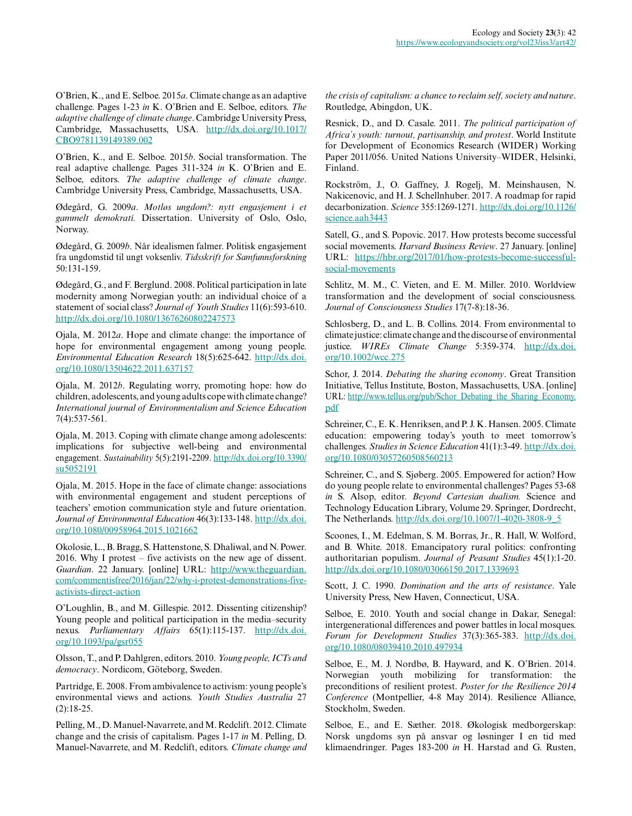O'Brien, K., and E. Selboe. 2015*a*. Climate change as an adaptive challenge. Pages 1-23 *in* K. O'Brien and E. Selboe, editors. *The adaptive challenge of climate change*. Cambridge University Press, Cambridge, Massachusetts, USA. [http://dx.doi.org/10.1017/](http://dx.doi.org/10.1017%2FCBO9781139149389.002) [CBO9781139149389.002](http://dx.doi.org/10.1017%2FCBO9781139149389.002) 

O'Brien, K., and E. Selboe. 2015*b*. Social transformation. The real adaptive challenge. Pages 311-324 *in* K. O'Brien and E. Selboe, editors. *The adaptive challenge of climate change*. Cambridge University Press, Cambridge, Massachusetts, USA.

Ødegård, G. 2009*a*. *Motløs ungdom?: nytt engasjement i et gammelt demokrati.* Dissertation. University of Oslo, Oslo, Norway.

Ødegård, G. 2009*b*. Når idealismen falmer. Politisk engasjement fra ungdomstid til ungt voksenliv. *Tidsskrift for Samfunnsforskning* 50:131-159.

Ødegård, G., and F. Berglund. 2008. Political participation in late modernity among Norwegian youth: an individual choice of a statement of social class? *Journal of Youth Studies* 11(6):593-610. [http://dx.doi.org/10.1080/13676260802247573](http://dx.doi.org/10.1080%2F13676260802247573) 

Ojala, M. 2012*a*. Hope and climate change: the importance of hope for environmental engagement among young people. *Environmental Education Research* 18(5):625-642. [http://dx.doi.](http://dx.doi.org/10.1080%2F13504622.2011.637157) [org/10.1080/13504622.2011.637157](http://dx.doi.org/10.1080%2F13504622.2011.637157)

Ojala, M. 2012*b*. Regulating worry, promoting hope: how do children, adolescents, and young adults cope with climate change? *International journal of Environmentalism and Science Education* 7(4):537-561.

Ojala, M. 2013. Coping with climate change among adolescents: implications for subjective well-being and environmental engagement. *Sustainability* 5(5):2191-2209. [http://dx.doi.org/10.3390/](http://dx.doi.org/10.3390%2Fsu5052191) [su5052191](http://dx.doi.org/10.3390%2Fsu5052191) 

Ojala, M. 2015. Hope in the face of climate change: associations with environmental engagement and student perceptions of teachers' emotion communication style and future orientation. *Journal of Environmental Education* 46(3):133-148. [http://dx.doi.](http://dx.doi.org/10.1080%2F00958964.2015.1021662) [org/10.1080/00958964.2015.1021662](http://dx.doi.org/10.1080%2F00958964.2015.1021662) 

Okolosie, L., B. Bragg, S. Hattenstone, S. Dhaliwal, and N. Power. 2016. Why I protest – five activists on the new age of dissent. *Guardian*. 22 January. [online] URL: [http://www.theguardian.](http://www.theguardian.com/commentisfree/2016/jan/22/why-i-protest-demonstrations-five-activists-direct-action) [com/commentisfree/2016/jan/22/why-i-protest-demonstrations-five](http://www.theguardian.com/commentisfree/2016/jan/22/why-i-protest-demonstrations-five-activists-direct-action)[activists-direct-action](http://www.theguardian.com/commentisfree/2016/jan/22/why-i-protest-demonstrations-five-activists-direct-action)

O'Loughlin, B., and M. Gillespie. 2012. Dissenting citizenship? Young people and political participation in the media–security nexus. *Parliamentary Affairs* 65(1):115-137. [http://dx.doi.](http://dx.doi.org/10.1093%2Fpa%2Fgsr055) [org/10.1093/pa/gsr055](http://dx.doi.org/10.1093%2Fpa%2Fgsr055)

Olsson, T., and P. Dahlgren, editors. 2010. *Young people, ICTs and democracy*. Nordicom, Göteborg, Sweden.

Partridge, E. 2008. From ambivalence to activism: young people's environmental views and actions. *Youth Studies Australia* 27 (2):18-25.

Pelling, M., D. Manuel-Navarrete, and M. Redclift. 2012. Climate change and the crisis of capitalism. Pages 1-17 *in* M. Pelling, D. Manuel-Navarrete, and M. Redclift, editors. *Climate change and* *the crisis of capitalism: a chance to reclaim self, society and nature*. Routledge, Abingdon, UK.

Resnick, D., and D. Casale. 2011. *The political participation of Africa's youth: turnout, partisanship, and protest*. World Institute for Development of Economics Research (WIDER) Working Paper 2011/056. United Nations University–WIDER, Helsinki, Finland.

Rockström, J., O. Gaffney, J. Rogelj, M. Meinshausen, N. Nakicenovic, and H. J. Schellnhuber. 2017. A roadmap for rapid decarbonization. *Science* 355:1269-1271. [http://dx.doi.org/10.1126/](http://dx.doi.org/10.1126%2Fscience.aah3443) [science.aah3443](http://dx.doi.org/10.1126%2Fscience.aah3443) 

Satell, G., and S. Popovic. 2017. How protests become successful social movements. *Harvard Business Review*. 27 January. [online] URL: [https://hbr.org/2017/01/how-protests-become-successful](https://hbr.org/2017/01/how-protests-become-successful-social-movements)[social-movements](https://hbr.org/2017/01/how-protests-become-successful-social-movements) 

Schlitz, M. M., C. Vieten, and E. M. Miller. 2010. Worldview transformation and the development of social consciousness. *Journal of Consciousness Studies* 17(7-8):18-36.

Schlosberg, D., and L. B. Collins. 2014. From environmental to climate justice: climate change and the discourse of environmental justice. *WIREs Climate Change* 5:359-374. [http://dx.doi.](http://dx.doi.org/10.1002%2Fwcc.275) [org/10.1002/wcc.275](http://dx.doi.org/10.1002%2Fwcc.275)

Schor, J. 2014. *Debating the sharing economy*. Great Transition Initiative, Tellus Institute, Boston, Massachusetts, USA. [online] URL: [http://www.tellus.org/pub/Schor\\_Debating\\_the\\_Sharing\\_Economy.](http://www.tellus.org/pub/Schor_Debating_the_Sharing_Economy.pdf) [pdf](http://www.tellus.org/pub/Schor_Debating_the_Sharing_Economy.pdf)

Schreiner, C., E. K. Henriksen, and P. J. K. Hansen. 2005. Climate education: empowering today's youth to meet tomorrow's challenges. *Studies in Science Education* 41(1):3-49. [http://dx.doi.](http://dx.doi.org/10.1080%2F03057260508560213) [org/10.1080/03057260508560213](http://dx.doi.org/10.1080%2F03057260508560213) 

Schreiner, C., and S. Sjøberg. 2005. Empowered for action? How do young people relate to environmental challenges? Pages 53-68 *in* S. Alsop, editor. *Beyond Cartesian dualism.* Science and Technology Education Library, Volume 29. Springer, Dordrecht, The Netherlands. [http://dx.doi.org/10.1007/1-4020-3808-9\\_5](http://dx.doi.org/10.1007%2F1-4020-3808-9_5) 

Scoones, I., M. Edelman, S. M. Borras, Jr., R. Hall, W. Wolford, and B. White. 2018. Emancipatory rural politics: confronting authoritarian populism. *Journal of Peasant Studies* 45(1):1-20. [http://dx.doi.org/10.1080/03066150.2017.1339693](http://dx.doi.org/10.1080%2F03066150.2017.1339693) 

Scott, J. C. 1990. *Domination and the arts of resistance*. Yale University Press, New Haven, Connecticut, USA.

Selboe, E. 2010. Youth and social change in Dakar, Senegal: intergenerational differences and power battles in local mosques. *Forum for Development Studies* 37(3):365-383. [http://dx.doi.](http://dx.doi.org/10.1080%2F08039410.2010.497934) [org/10.1080/08039410.2010.497934](http://dx.doi.org/10.1080%2F08039410.2010.497934)

Selboe, E., M. J. Nordbø, B. Hayward, and K. O'Brien. 2014. Norwegian youth mobilizing for transformation: the preconditions of resilient protest. *Poster for the Resilience 2014 Conference* (Montpellier, 4-8 May 2014). Resilience Alliance, Stockholm, Sweden.

Selboe, E., and E. Sæther. 2018. Økologisk medborgerskap: Norsk ungdoms syn på ansvar og løsninger I en tid med klimaendringer. Pages 183-200 *in* H. Harstad and G. Rusten,